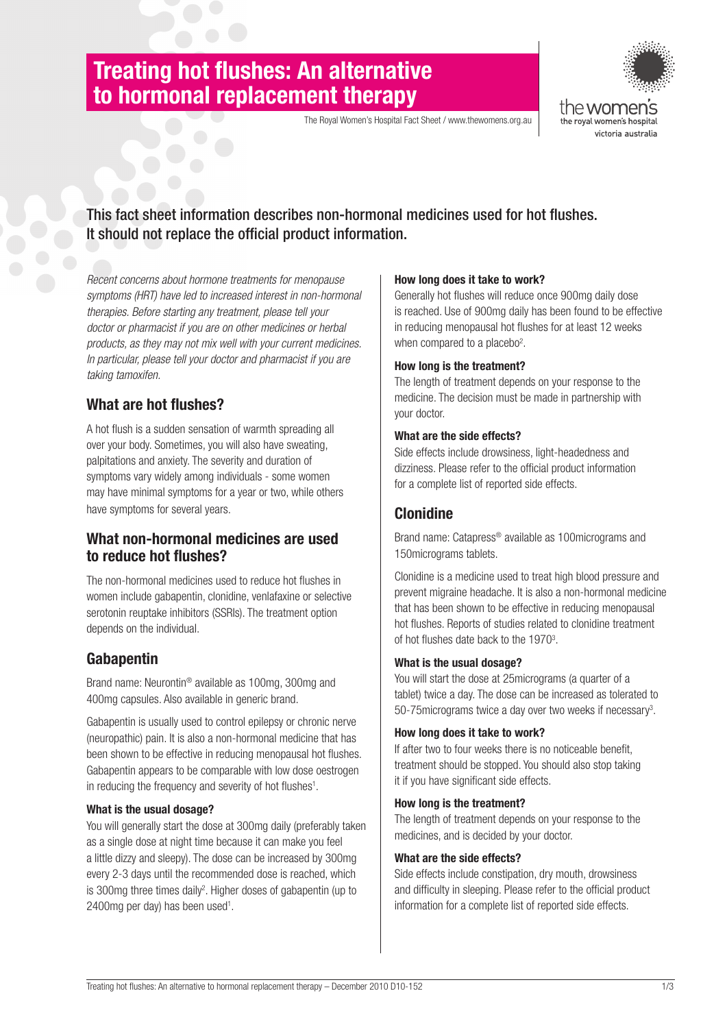# **Treating hot flushes: An alternative to hormonal replacement therapy**

The Royal Women's Hospital Fact Sheet / www.thewomens.org.au



# This fact sheet information describes non-hormonal medicines used for hot flushes. It should not replace the official product information.

*Recent concerns about hormone treatments for menopause symptoms (HRT) have led to increased interest in non-hormonal therapies. Before starting any treatment, please tell your doctor or pharmacist if you are on other medicines or herbal products, as they may not mix well with your current medicines. In particular, please tell your doctor and pharmacist if you are taking tamoxifen.*

# **What are hot flushes?**

A hot flush is a sudden sensation of warmth spreading all over your body. Sometimes, you will also have sweating, palpitations and anxiety. The severity and duration of symptoms vary widely among individuals - some women may have minimal symptoms for a year or two, while others have symptoms for several years.

### **What non-hormonal medicines are used to reduce hot flushes?**

The non-hormonal medicines used to reduce hot flushes in women include gabapentin, clonidine, venlafaxine or selective serotonin reuptake inhibitors (SSRIs). The treatment option depends on the individual.

# **Gabapentin**

Brand name: Neurontin® available as 100mg, 300mg and 400mg capsules. Also available in generic brand.

Gabapentin is usually used to control epilepsy or chronic nerve (neuropathic) pain. It is also a non-hormonal medicine that has been shown to be effective in reducing menopausal hot flushes. Gabapentin appears to be comparable with low dose oestrogen in reducing the frequency and severity of hot flushes<sup>1</sup>.

### **What is the usual dosage?**

You will generally start the dose at 300mg daily (preferably taken as a single dose at night time because it can make you feel a little dizzy and sleepy). The dose can be increased by 300mg every 2-3 days until the recommended dose is reached, which is 300mg three times daily<sup>2</sup>. Higher doses of gabapentin (up to 2400mg per day) has been used<sup>1</sup>.

### **How long does it take to work?**

Generally hot flushes will reduce once 900mg daily dose is reached. Use of 900mg daily has been found to be effective in reducing menopausal hot flushes for at least 12 weeks when compared to a placebo<sup>2</sup>.

### **How long is the treatment?**

The length of treatment depends on your response to the medicine. The decision must be made in partnership with your doctor.

### **What are the side effects?**

Side effects include drowsiness, light-headedness and dizziness. Please refer to the official product information for a complete list of reported side effects.

### **Clonidine**

Brand name: Catapress® available as 100micrograms and 150micrograms tablets.

Clonidine is a medicine used to treat high blood pressure and prevent migraine headache. It is also a non-hormonal medicine that has been shown to be effective in reducing menopausal hot flushes. Reports of studies related to clonidine treatment of hot flushes date back to the 1970<sup>3</sup>.

### **What is the usual dosage?**

You will start the dose at 25micrograms (a quarter of a tablet) twice a day. The dose can be increased as tolerated to 50-75 micrograms twice a day over two weeks if necessary<sup>3</sup>.

### **How long does it take to work?**

If after two to four weeks there is no noticeable benefit, treatment should be stopped. You should also stop taking it if you have significant side effects.

### **How long is the treatment?**

The length of treatment depends on your response to the medicines, and is decided by your doctor.

### **What are the side effects?**

Side effects include constipation, dry mouth, drowsiness and difficulty in sleeping. Please refer to the official product information for a complete list of reported side effects.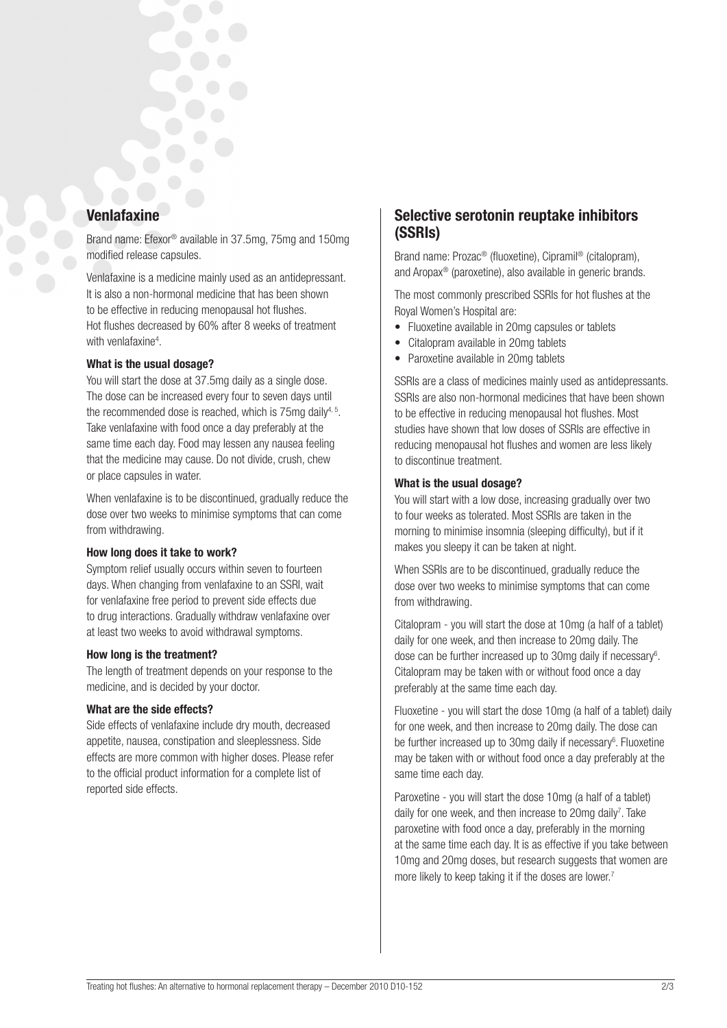### **Venlafaxine**

Brand name: Efexor® available in 37.5mg, 75mg and 150mg modified release capsules.

Venlafaxine is a medicine mainly used as an antidepressant. It is also a non-hormonal medicine that has been shown to be effective in reducing menopausal hot flushes. Hot flushes decreased by 60% after 8 weeks of treatment with venlafaxine<sup>4</sup>.

### **What is the usual dosage?**

You will start the dose at 37.5mg daily as a single dose. The dose can be increased every four to seven days until the recommended dose is reached, which is 75mg daily<sup>4, 5</sup>. Take venlafaxine with food once a day preferably at the same time each day. Food may lessen any nausea feeling that the medicine may cause. Do not divide, crush, chew or place capsules in water.

When venlafaxine is to be discontinued, gradually reduce the dose over two weeks to minimise symptoms that can come from withdrawing.

### **How long does it take to work?**

Symptom relief usually occurs within seven to fourteen days. When changing from venlafaxine to an SSRI, wait for venlafaxine free period to prevent side effects due to drug interactions. Gradually withdraw venlafaxine over at least two weeks to avoid withdrawal symptoms.

### **How long is the treatment?**

The length of treatment depends on your response to the medicine, and is decided by your doctor.

### **What are the side effects?**

Side effects of venlafaxine include dry mouth, decreased appetite, nausea, constipation and sleeplessness. Side effects are more common with higher doses. Please refer to the official product information for a complete list of reported side effects.

### **Selective serotonin reuptake inhibitors (ssris)**

Brand name: Prozac® (fluoxetine), Cipramil® (citalopram), and Aropax® (paroxetine), also available in generic brands.

The most commonly prescribed SSRIs for hot flushes at the Royal Women's Hospital are:

- • Fluoxetine available in 20mg capsules or tablets
- Citalopram available in 20mg tablets
- Paroxetine available in 20mg tablets

SSRIs are a class of medicines mainly used as antidepressants. SSRIs are also non-hormonal medicines that have been shown to be effective in reducing menopausal hot flushes. Most studies have shown that low doses of SSRIs are effective in reducing menopausal hot flushes and women are less likely to discontinue treatment.

### **What is the usual dosage?**

You will start with a low dose, increasing gradually over two to four weeks as tolerated. Most SSRIs are taken in the morning to minimise insomnia (sleeping difficulty), but if it makes you sleepy it can be taken at night.

When SSRIs are to be discontinued, gradually reduce the dose over two weeks to minimise symptoms that can come from withdrawing.

Citalopram - you will start the dose at 10mg (a half of a tablet) daily for one week, and then increase to 20mg daily. The dose can be further increased up to 30mg daily if necessary<sup>6</sup>. Citalopram may be taken with or without food once a day preferably at the same time each day.

Fluoxetine - you will start the dose 10mg (a half of a tablet) daily for one week, and then increase to 20mg daily. The dose can be further increased up to 30mg daily if necessary<sup>6</sup>. Fluoxetine may be taken with or without food once a day preferably at the same time each day.

Paroxetine - you will start the dose 10mg (a half of a tablet) daily for one week, and then increase to 20mg daily<sup>7</sup>. Take paroxetine with food once a day, preferably in the morning at the same time each day. It is as effective if you take between 10mg and 20mg doses, but research suggests that women are more likely to keep taking it if the doses are lower.<sup>7</sup>